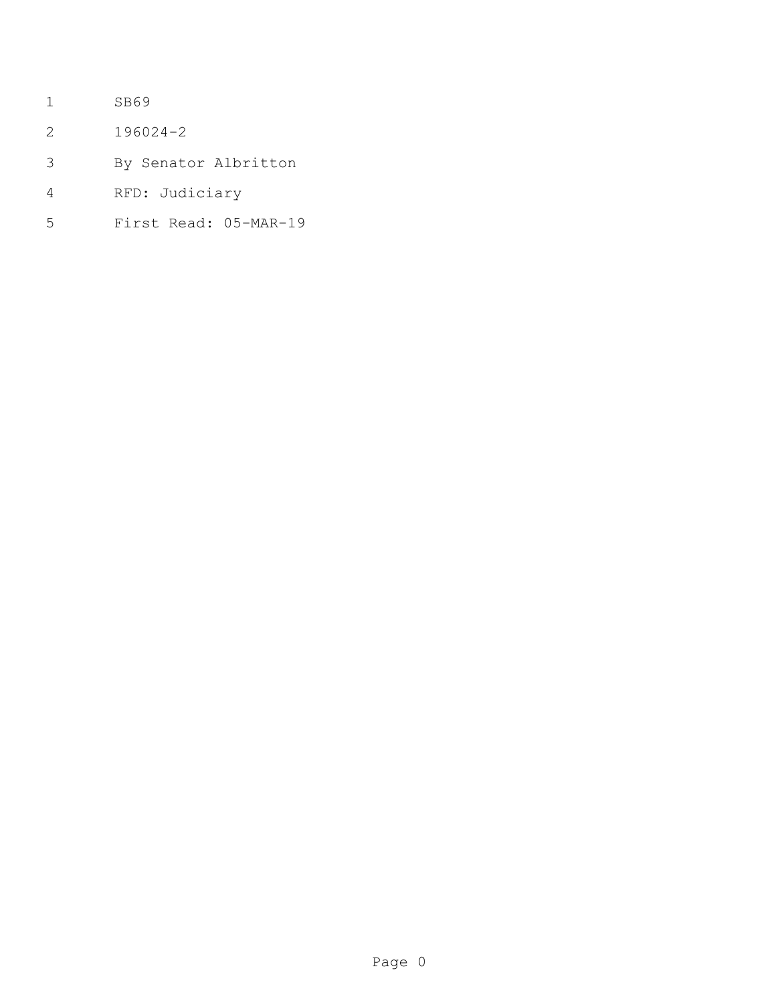- SB69
- 196024-2
- By Senator Albritton
- RFD: Judiciary
- First Read: 05-MAR-19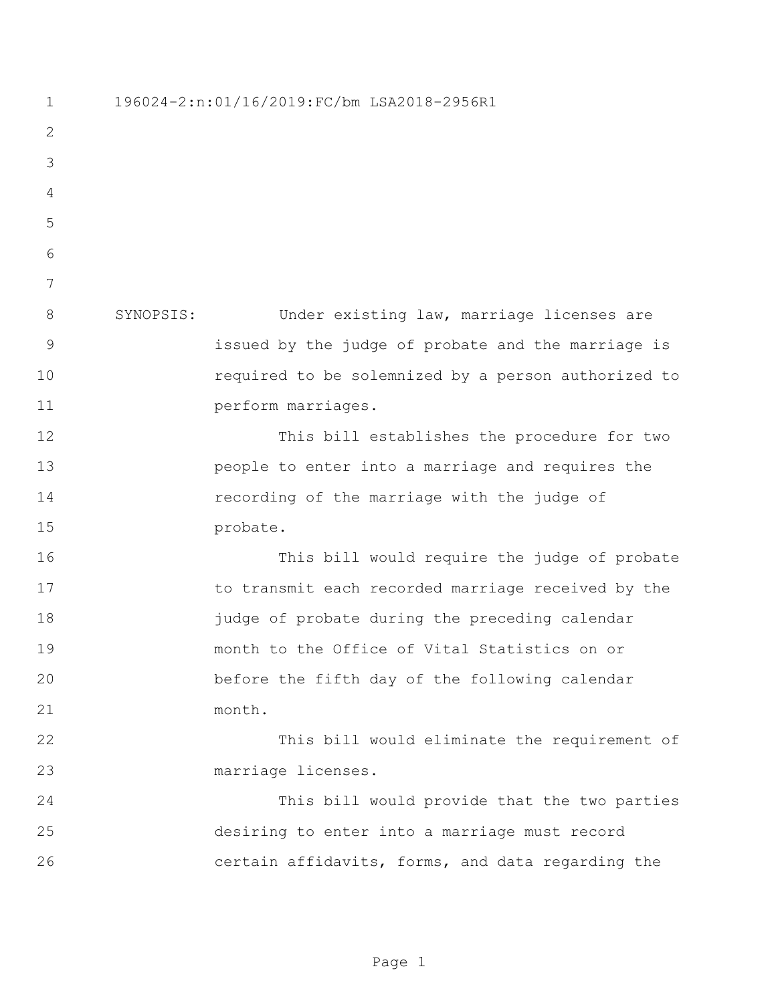196024-2:n:01/16/2019:FC/bm LSA2018-2956R1 SYNOPSIS: Under existing law, marriage licenses are issued by the judge of probate and the marriage is required to be solemnized by a person authorized to **perform marriages.**  This bill establishes the procedure for two people to enter into a marriage and requires the recording of the marriage with the judge of 15 probate. This bill would require the judge of probate 17 to transmit each recorded marriage received by the judge of probate during the preceding calendar month to the Office of Vital Statistics on or before the fifth day of the following calendar month. This bill would eliminate the requirement of marriage licenses. This bill would provide that the two parties desiring to enter into a marriage must record certain affidavits, forms, and data regarding the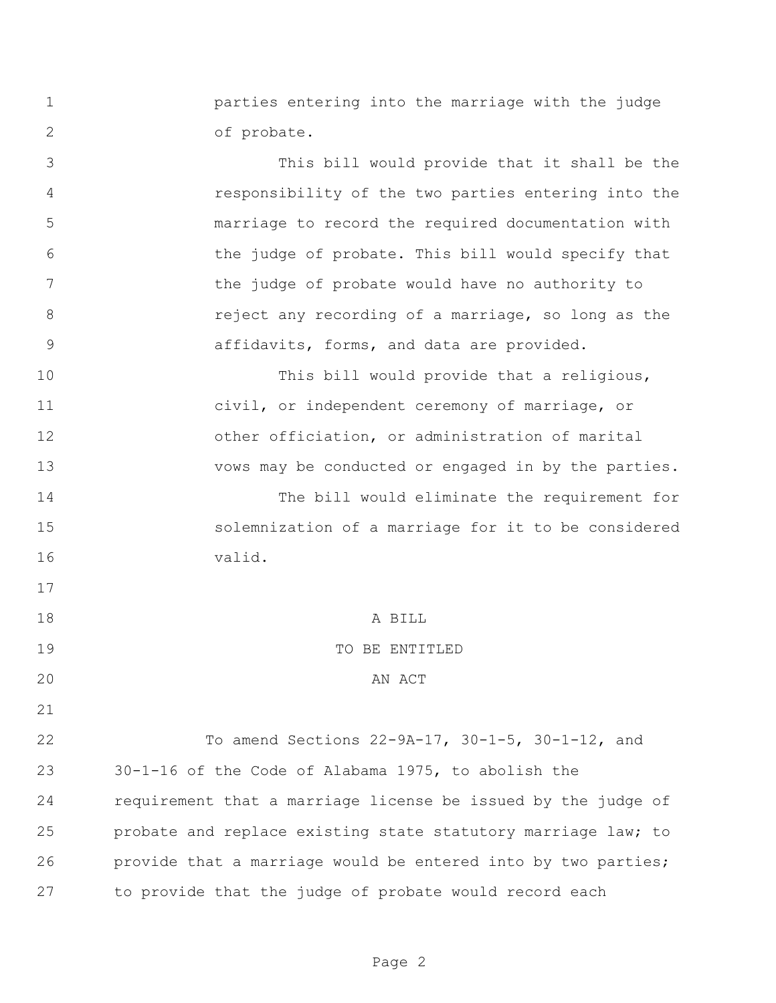parties entering into the marriage with the judge of probate.

 This bill would provide that it shall be the responsibility of the two parties entering into the marriage to record the required documentation with the judge of probate. This bill would specify that the judge of probate would have no authority to **8 reject any recording of a marriage, so long as the** affidavits, forms, and data are provided.

10 This bill would provide that a religious, civil, or independent ceremony of marriage, or other officiation, or administration of marital vows may be conducted or engaged in by the parties.

 The bill would eliminate the requirement for solemnization of a marriage for it to be considered valid.

A BILL

## TO BE ENTITLED

## 20 AN ACT

 To amend Sections 22-9A-17, 30-1-5, 30-1-12, and 30-1-16 of the Code of Alabama 1975, to abolish the requirement that a marriage license be issued by the judge of probate and replace existing state statutory marriage law; to provide that a marriage would be entered into by two parties; to provide that the judge of probate would record each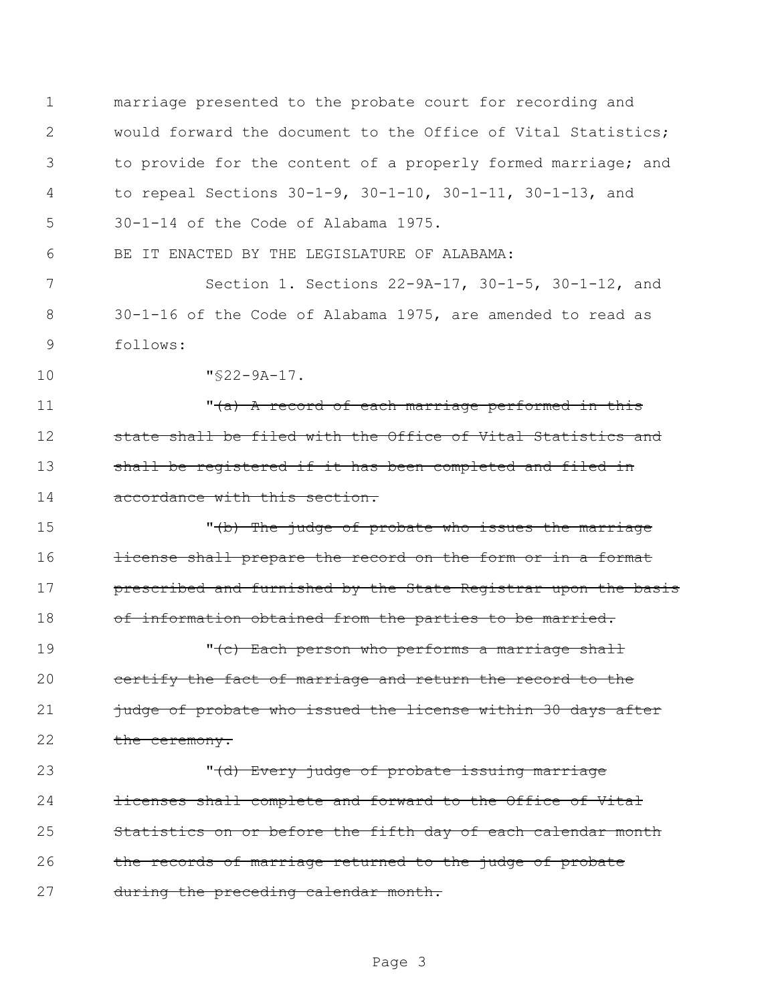1 marriage presented to the probate court for recording and 2 would forward the document to the Office of Vital Statistics; 3 to provide for the content of a properly formed marriage; and 4 to repeal Sections 30-1-9, 30-1-10, 30-1-11, 30-1-13, and 5 30-1-14 of the Code of Alabama 1975. 6 BE IT ENACTED BY THE LEGISLATURE OF ALABAMA: 7 Section 1. Sections 22-9A-17, 30-1-5, 30-1-12, and 8 30-1-16 of the Code of Alabama 1975, are amended to read as 9 follows: 10 "§22-9A-17. 11 The Middle of each marriage performed in this 12 state shall be filed with the Office of Vital Statistics and 13 shall be registered if it has been completed and filed in 14 accordance with this section. 15 The judge of probate who issues the marriage 16 **license shall prepare the record on the form or in a format** 17 **prescribed and furnished by the State Registrar upon the basis** 18 of information obtained from the parties to be married. 19  $\cdots$   $\cdots$   $\cdots$   $\cdots$   $\cdots$   $\cdots$   $\cdots$   $\cdots$   $\cdots$   $\cdots$   $\cdots$   $\cdots$   $\cdots$   $\cdots$   $\cdots$   $\cdots$   $\cdots$   $\cdots$   $\cdots$   $\cdots$   $\cdots$   $\cdots$   $\cdots$   $\cdots$   $\cdots$   $\cdots$   $\cdots$   $\cdots$   $\cdots$   $\cdots$   $\cdots$   $\cdots$   $\cdots$   $\cdots$   $\cdots$   $\cdots$   $\$ 20 certify the fact of marriage and return the record to the 21 judge of probate who issued the license within 30 days after 22 the ceremony. 23 The Middle Every judge of probate issuing marriage 24 **licenses shall complete and forward to the Office of Vital** 25 Statistics on or before the fifth day of each calendar month 26 the records of marriage returned to the judge of probate 27 during the preceding calendar month.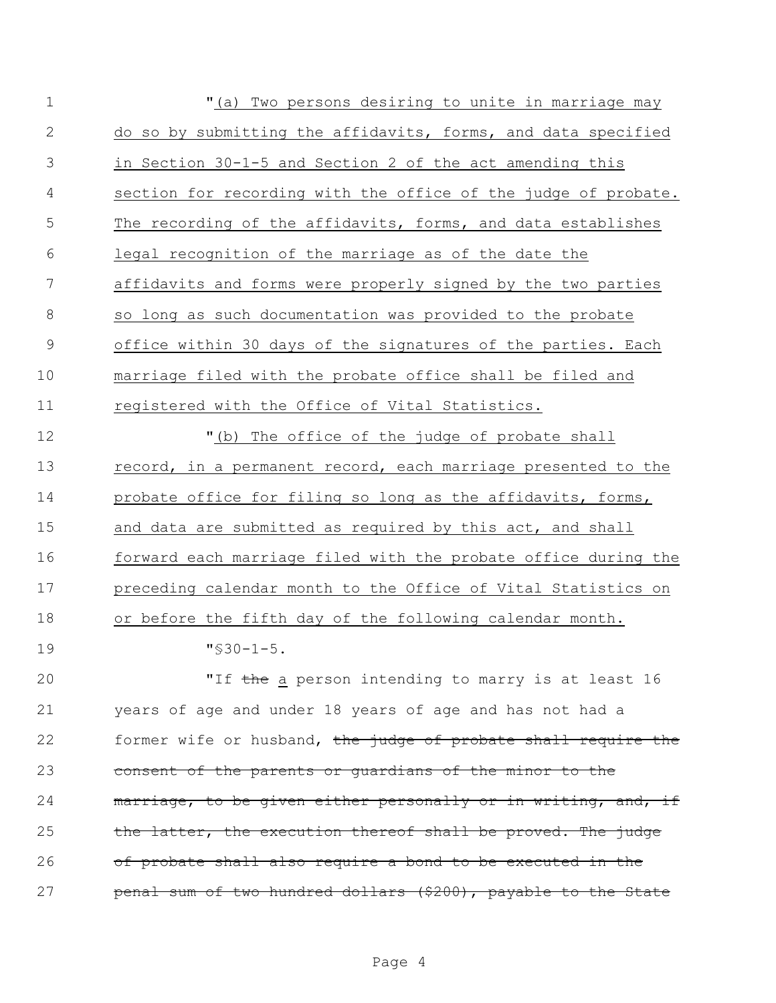| $\mathbf 1$ | "(a) Two persons desiring to unite in marriage may             |
|-------------|----------------------------------------------------------------|
| 2           | do so by submitting the affidavits, forms, and data specified  |
| 3           | in Section 30-1-5 and Section 2 of the act amending this       |
| 4           | section for recording with the office of the judge of probate. |
| 5           | The recording of the affidavits, forms, and data establishes   |
| 6           | legal recognition of the marriage as of the date the           |
| 7           | affidavits and forms were properly signed by the two parties   |
| 8           | so long as such documentation was provided to the probate      |
| 9           | office within 30 days of the signatures of the parties. Each   |
| 10          | marriage filed with the probate office shall be filed and      |
| 11          | registered with the Office of Vital Statistics.                |
| 12          | "(b) The office of the judge of probate shall                  |
| 13          | record, in a permanent record, each marriage presented to the  |
| 14          | probate office for filing so long as the affidavits, forms,    |
| 15          | and data are submitted as required by this act, and shall      |
| 16          | forward each marriage filed with the probate office during the |
| 17          | preceding calendar month to the Office of Vital Statistics on  |
| 18          | or before the fifth day of the following calendar month.       |
| 19          | $"$ \$30-1-5.                                                  |
| 20          | "If the a person intending to marry is at least 16             |
| 21          | years of age and under 18 years of age and has not had a       |
| 22          | former wife or husband, the judge of probate shall require the |
| 23          | consent of the parents or quardians of the minor to the        |
| 24          | marriage, to be given either personally or in writing, and, if |
| 25          | the latter, the execution thereof shall be proved. The judge   |
| 26          | of probate shall also require a bond to be executed in the     |
| 27          | penal sum of two hundred dollars (\$200), payable to the State |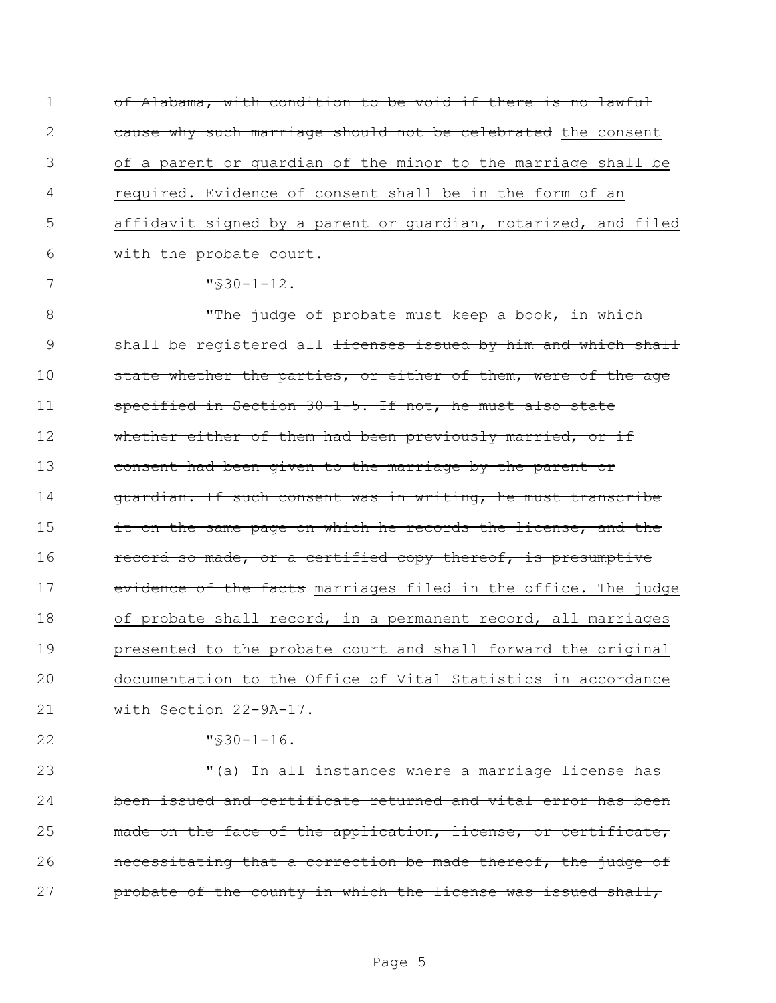1 of Alabama, with condition to be void if there is no lawful 2 cause why such marriage should not be celebrated the consent 3 of a parent or guardian of the minor to the marriage shall be 4 required. Evidence of consent shall be in the form of an 5 affidavit signed by a parent or guardian, notarized, and filed 6 with the probate court.

 $7$  "\$30-1-12.

8 The judge of probate must keep a book, in which 9 shall be registered all <del>licenses issued by him and which shall</del> 10 state whether the parties, or either of them, were of the age 11 specified in Section 30-1-5. If not, he must also state 12 whether either of them had been previously married, or if 13 consent had been given to the marriage by the parent or 14 guardian. If such consent was in writing, he must transcribe 15 it on the same page on which he records the license, and the 16 record so made, or a certified copy thereof, is presumptive 17 evidence of the facts marriages filed in the office. The judge 18 of probate shall record, in a permanent record, all marriages 19 presented to the probate court and shall forward the original 20 documentation to the Office of Vital Statistics in accordance 21 with Section 22-9A-17.

22 "§30-1-16.

 $\sqrt{(a)}$  In all instances where a marriage license has been issued and certificate returned and vital error has been 25 made on the face of the application, license, or certificate, **necessitating that a correction be made thereof, the judge of probate of the county in which the license was issued shall,**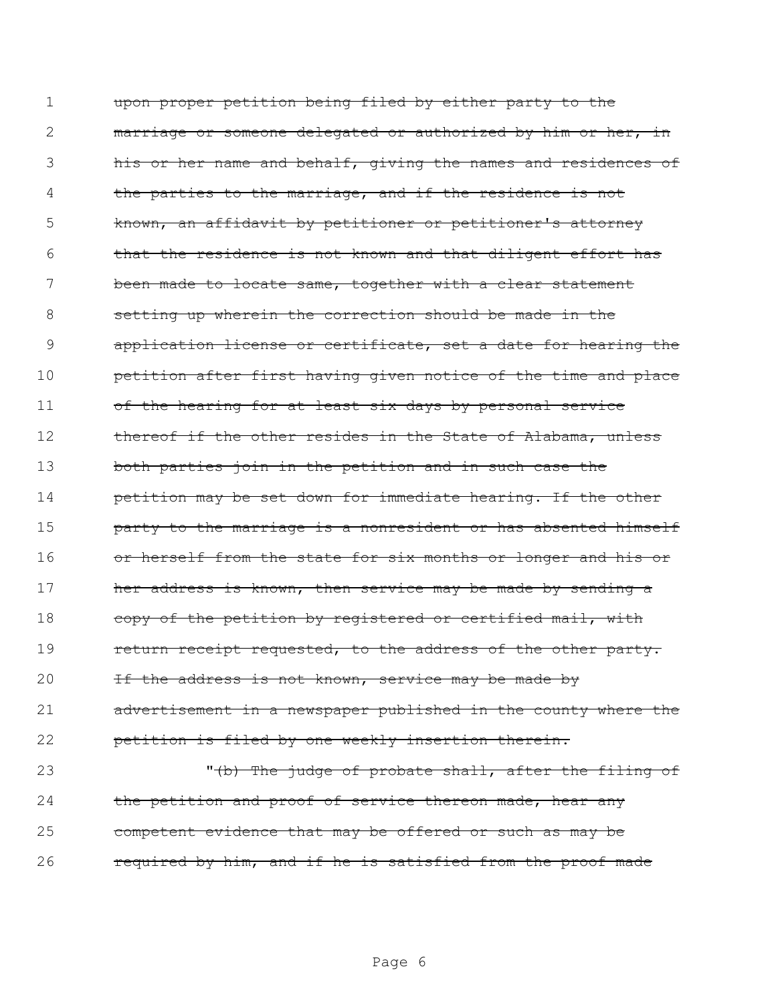1 upon proper petition being filed by either party to the 2 marriage or someone delegated or authorized by him or her, in 3 his or her name and behalf, giving the names and residences of 4 the parties to the marriage, and if the residence is not 5 known, an affidavit by petitioner or petitioner's attorney 6 that the residence is not known and that diligent effort has 7 been made to locate same, together with a clear statement 8 setting up wherein the correction should be made in the 9 application license or certificate, set a date for hearing the 10 **petition after first having given notice of the time and place** 11 of the hearing for at least six days by personal service 12 thereof if the other resides in the State of Alabama, unless 13 both parties join in the petition and in such case the 14 **petition may be set down for immediate hearing. If the other** 15 **party to the marriage is a nonresident or has absented himself** 16 or herself from the state for six months or longer and his or 17 her address is known, then service may be made by sending a 18 copy of the petition by registered or certified mail, with 19 **return receipt requested, to the address of the other party.** 20 If the address is not known, service may be made by 21 advertisement in a newspaper published in the county where the 22 petition is filed by one weekly insertion therein. 23 The judge of probate shall, after the filing of 24 the petition and proof of service thereon made, hear any 25 competent evidence that may be offered or such as may be

26 required by him, and if he is satisfied from the proof made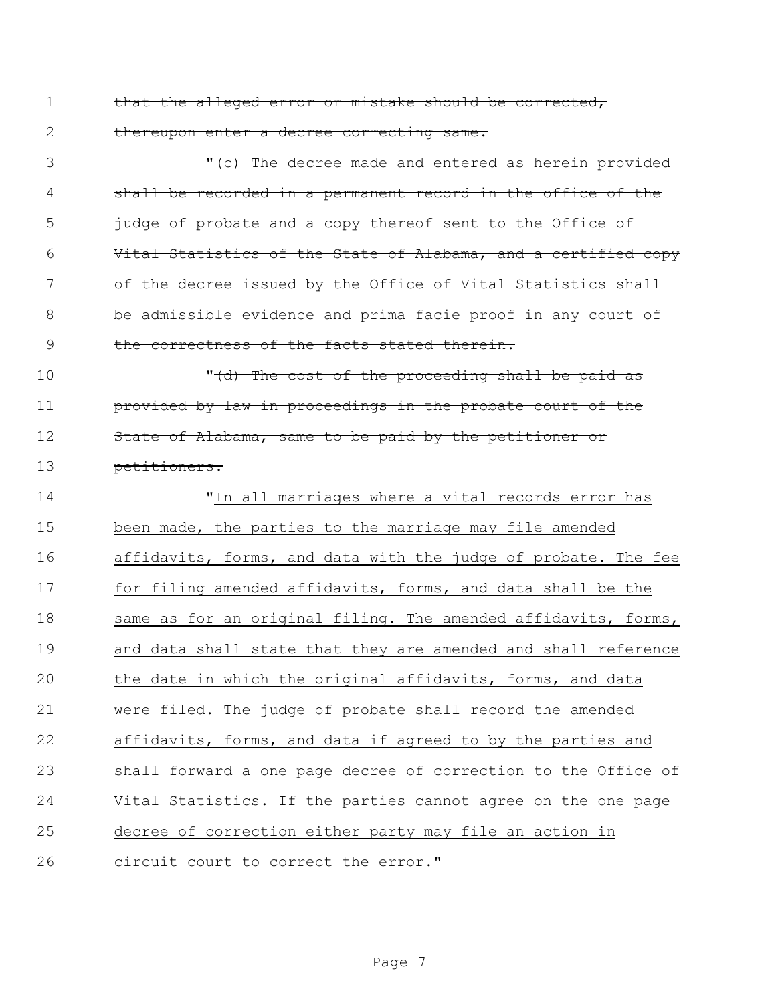1 that the alleged error or mistake should be corrected, 2 thereupon enter a decree correcting same.

3 The decree made and entered as herein provided 4 shall be recorded in a permanent record in the office of the 5 judge of probate and a copy thereof sent to the Office of 6 Vital Statistics of the State of Alabama, and a certified copy 7 of the decree issued by the Office of Vital Statistics shall 8 be admissible evidence and prima facie proof in any court of 9 the correctness of the facts stated therein.

10 The cost of the proceeding shall be paid as 11 **provided by law in proceedings in the probate court of the** 12 State of Alabama, same to be paid by the petitioner or 13 petitioners.

 "In all marriages where a vital records error has been made, the parties to the marriage may file amended affidavits, forms, and data with the judge of probate. The fee for filing amended affidavits, forms, and data shall be the 18 same as for an original filing. The amended affidavits, forms, and data shall state that they are amended and shall reference the date in which the original affidavits, forms, and data were filed. The judge of probate shall record the amended affidavits, forms, and data if agreed to by the parties and shall forward a one page decree of correction to the Office of Vital Statistics. If the parties cannot agree on the one page decree of correction either party may file an action in 26 circuit court to correct the error."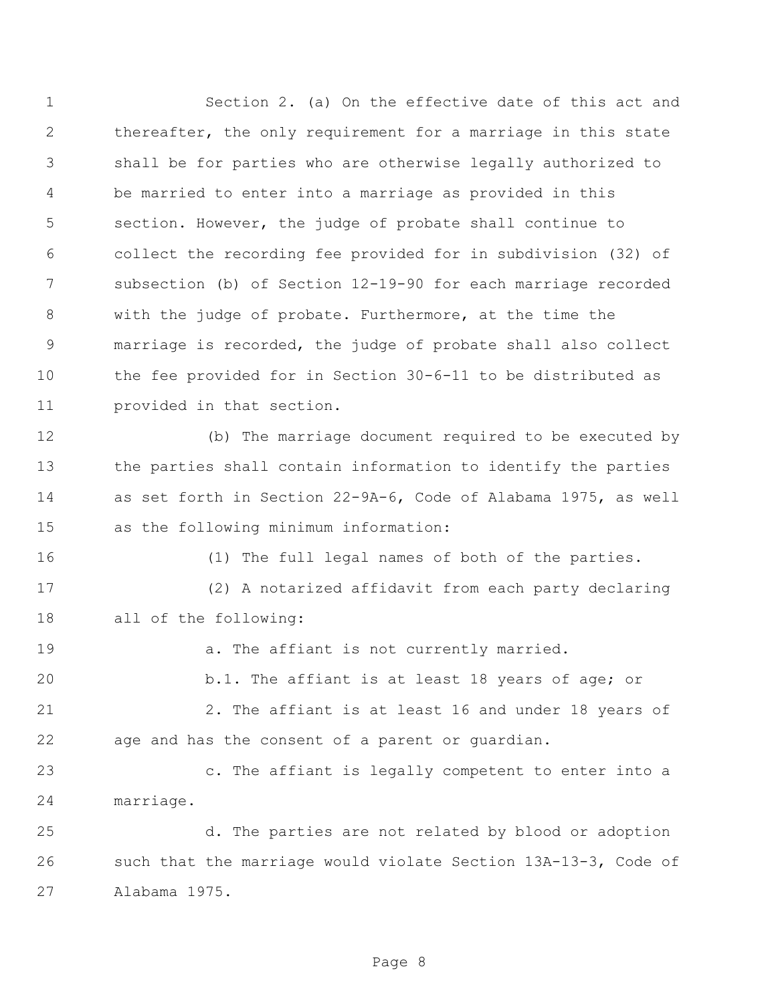Section 2. (a) On the effective date of this act and thereafter, the only requirement for a marriage in this state shall be for parties who are otherwise legally authorized to be married to enter into a marriage as provided in this section. However, the judge of probate shall continue to collect the recording fee provided for in subdivision (32) of subsection (b) of Section 12-19-90 for each marriage recorded with the judge of probate. Furthermore, at the time the marriage is recorded, the judge of probate shall also collect the fee provided for in Section 30-6-11 to be distributed as provided in that section. (b) The marriage document required to be executed by the parties shall contain information to identify the parties as set forth in Section 22-9A-6, Code of Alabama 1975, as well as the following minimum information: (1) The full legal names of both of the parties. (2) A notarized affidavit from each party declaring all of the following: 19 a. The affiant is not currently married. b.1. The affiant is at least 18 years of age; or 2. The affiant is at least 16 and under 18 years of age and has the consent of a parent or guardian. c. The affiant is legally competent to enter into a marriage. d. The parties are not related by blood or adoption such that the marriage would violate Section 13A-13-3, Code of Alabama 1975.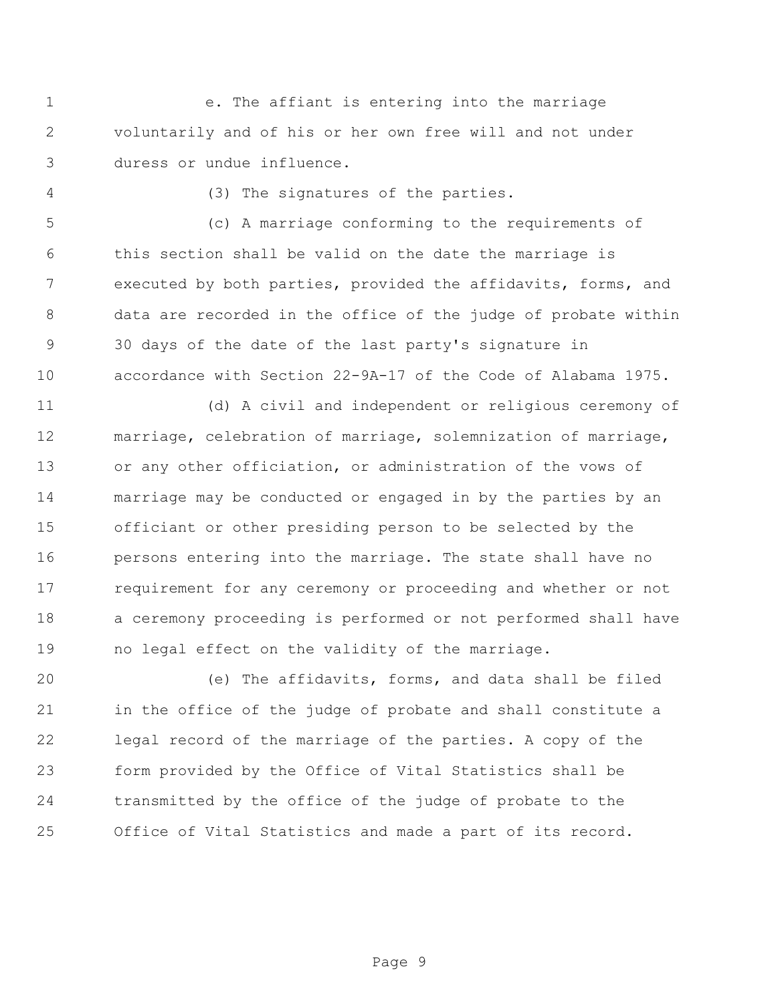e. The affiant is entering into the marriage voluntarily and of his or her own free will and not under duress or undue influence.

(3) The signatures of the parties.

 (c) A marriage conforming to the requirements of this section shall be valid on the date the marriage is executed by both parties, provided the affidavits, forms, and data are recorded in the office of the judge of probate within 30 days of the date of the last party's signature in accordance with Section 22-9A-17 of the Code of Alabama 1975.

 (d) A civil and independent or religious ceremony of marriage, celebration of marriage, solemnization of marriage, or any other officiation, or administration of the vows of marriage may be conducted or engaged in by the parties by an officiant or other presiding person to be selected by the persons entering into the marriage. The state shall have no requirement for any ceremony or proceeding and whether or not a ceremony proceeding is performed or not performed shall have no legal effect on the validity of the marriage.

 (e) The affidavits, forms, and data shall be filed in the office of the judge of probate and shall constitute a legal record of the marriage of the parties. A copy of the form provided by the Office of Vital Statistics shall be transmitted by the office of the judge of probate to the Office of Vital Statistics and made a part of its record.